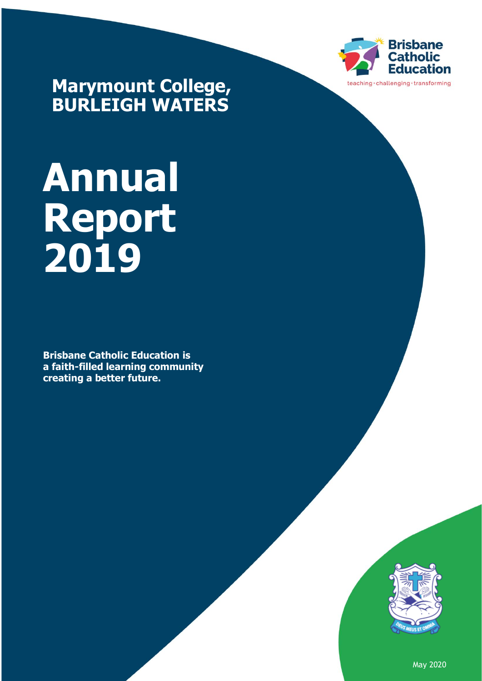

**Marymount College, BURLEIGH WATERS**

# **Annual Report 2019**

**Brisbane Catholic Education is a faith-filled learning community creating a better future.**



May 2020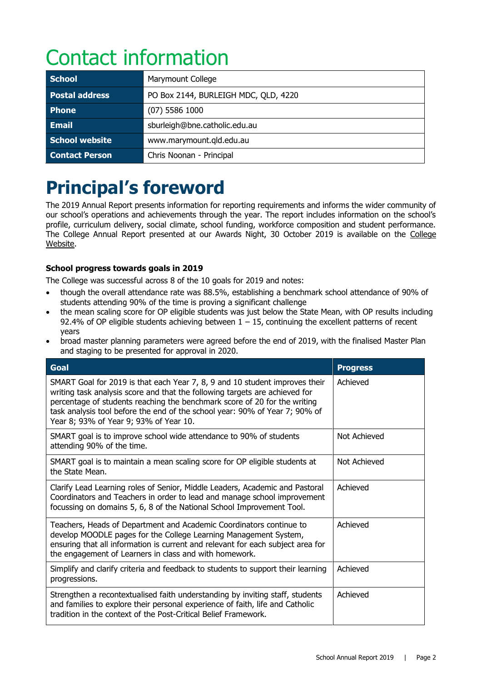# Contact information

| <b>School</b>         | Marymount College                    |
|-----------------------|--------------------------------------|
| <b>Postal address</b> | PO Box 2144, BURLEIGH MDC, QLD, 4220 |
| <b>Phone</b>          | $(07)$ 5586 1000                     |
| <b>Email</b>          | sburleigh@bne.catholic.edu.au        |
| School website        | www.marymount.qld.edu.au             |
| <b>Contact Person</b> | Chris Noonan - Principal             |

# **Principal's foreword**

The 2019 Annual Report presents information for reporting requirements and informs the wider community of our school's operations and achievements through the year. The report includes information on the school's profile, curriculum delivery, social climate, school funding, workforce composition and student performance. The [College](http://www.marymount.qld.edu.au/our-college/Pages/Annual-Reports.aspx) Annual Report presented at our Awards Night, 30 October 2019 is available on the College [Website.](http://www.marymount.qld.edu.au/our-college/Pages/Annual-Reports.aspx)

# **School progress towards goals in 2019**

The College was successful across 8 of the 10 goals for 2019 and notes:

- though the overall attendance rate was 88.5%, establishing a benchmark school attendance of 90% of students attending 90% of the time is proving a significant challenge
- the mean scaling score for OP eligible students was just below the State Mean, with OP results including 92.4% of OP eligible students achieving between  $1 - 15$ , continuing the excellent patterns of recent years
- broad master planning parameters were agreed before the end of 2019, with the finalised Master Plan and staging to be presented for approval in 2020.

| Goal                                                                                                                                                                                                                                                                                                                                                             | <b>Progress</b> |
|------------------------------------------------------------------------------------------------------------------------------------------------------------------------------------------------------------------------------------------------------------------------------------------------------------------------------------------------------------------|-----------------|
| SMART Goal for 2019 is that each Year 7, 8, 9 and 10 student improves their<br>writing task analysis score and that the following targets are achieved for<br>percentage of students reaching the benchmark score of 20 for the writing<br>task analysis tool before the end of the school year: 90% of Year 7; 90% of<br>Year 8; 93% of Year 9; 93% of Year 10. | Achieved        |
| SMART goal is to improve school wide attendance to 90% of students<br>attending 90% of the time.                                                                                                                                                                                                                                                                 | Not Achieved    |
| SMART goal is to maintain a mean scaling score for OP eligible students at<br>the State Mean.                                                                                                                                                                                                                                                                    | Not Achieved    |
| Clarify Lead Learning roles of Senior, Middle Leaders, Academic and Pastoral<br>Coordinators and Teachers in order to lead and manage school improvement<br>focussing on domains 5, 6, 8 of the National School Improvement Tool.                                                                                                                                | Achieved        |
| Teachers, Heads of Department and Academic Coordinators continue to<br>develop MOODLE pages for the College Learning Management System,<br>ensuring that all information is current and relevant for each subject area for<br>the engagement of Learners in class and with homework.                                                                             | Achieved        |
| Simplify and clarify criteria and feedback to students to support their learning<br>progressions.                                                                                                                                                                                                                                                                | Achieved        |
| Strengthen a recontextualised faith understanding by inviting staff, students<br>and families to explore their personal experience of faith, life and Catholic<br>tradition in the context of the Post-Critical Belief Framework.                                                                                                                                | Achieved        |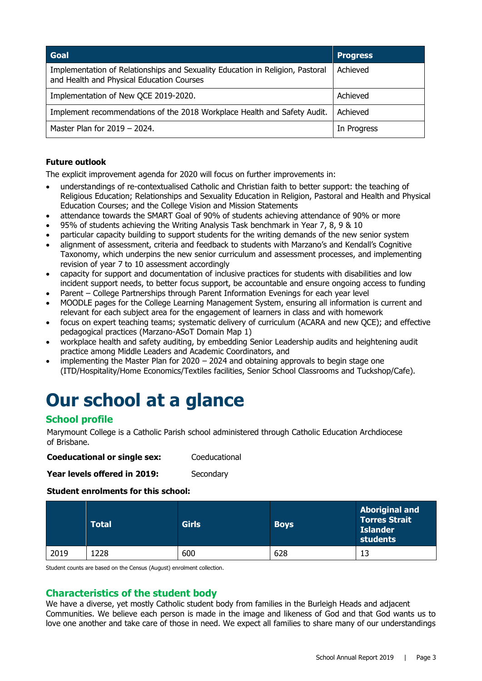| Goal                                                                                                                       | <b>Progress</b> |
|----------------------------------------------------------------------------------------------------------------------------|-----------------|
| Implementation of Relationships and Sexuality Education in Religion, Pastoral<br>and Health and Physical Education Courses | Achieved        |
| Implementation of New QCE 2019-2020.                                                                                       | Achieved        |
| Implement recommendations of the 2018 Workplace Health and Safety Audit.                                                   | Achieved        |
| Master Plan for $2019 - 2024$ .                                                                                            | In Progress     |

# **Future outlook**

The explicit improvement agenda for 2020 will focus on further improvements in:

- understandings of re-contextualised Catholic and Christian faith to better support: the teaching of Religious Education; Relationships and Sexuality Education in Religion, Pastoral and Health and Physical Education Courses; and the College Vision and Mission Statements
- attendance towards the SMART Goal of 90% of students achieving attendance of 90% or more
- 95% of students achieving the Writing Analysis Task benchmark in Year 7, 8, 9 & 10
- particular capacity building to support students for the writing demands of the new senior system
- alignment of assessment, criteria and feedback to students with Marzano's and Kendall's Cognitive Taxonomy, which underpins the new senior curriculum and assessment processes, and implementing revision of year 7 to 10 assessment accordingly
- capacity for support and documentation of inclusive practices for students with disabilities and low incident support needs, to better focus support, be accountable and ensure ongoing access to funding
- Parent College Partnerships through Parent Information Evenings for each year level
- MOODLE pages for the College Learning Management System, ensuring all information is current and relevant for each subject area for the engagement of learners in class and with homework
- focus on expert teaching teams; systematic delivery of curriculum (ACARA and new QCE); and effective pedagogical practices (Marzano-ASoT Domain Map 1)
- workplace health and safety auditing, by embedding Senior Leadership audits and heightening audit practice among Middle Leaders and Academic Coordinators, and
- implementing the Master Plan for  $2020 2024$  and obtaining approvals to begin stage one (ITD/Hospitality/Home Economics/Textiles facilities, Senior School Classrooms and Tuckshop/Cafe).

# **Our school at a glance**

# **School profile**

Marymount College is a Catholic Parish school administered through Catholic Education Archdiocese of Brisbane.

**Coeducational or single sex:** Coeducational

**Year levels offered in 2019:** Secondary

### **Student enrolments for this school:**

|      | <b>Total</b> | <b>Girls</b> | <b>Boys</b> | <b>Aboriginal and</b><br><b>Torres Strait</b><br><b>Islander</b><br>students |
|------|--------------|--------------|-------------|------------------------------------------------------------------------------|
| 2019 | L228         | 600          | 628         |                                                                              |

Student counts are based on the Census (August) enrolment collection.

# **Characteristics of the student body**

We have a diverse, yet mostly Catholic student body from families in the Burleigh Heads and adjacent Communities. We believe each person is made in the image and likeness of God and that God wants us to love one another and take care of those in need. We expect all families to share many of our understandings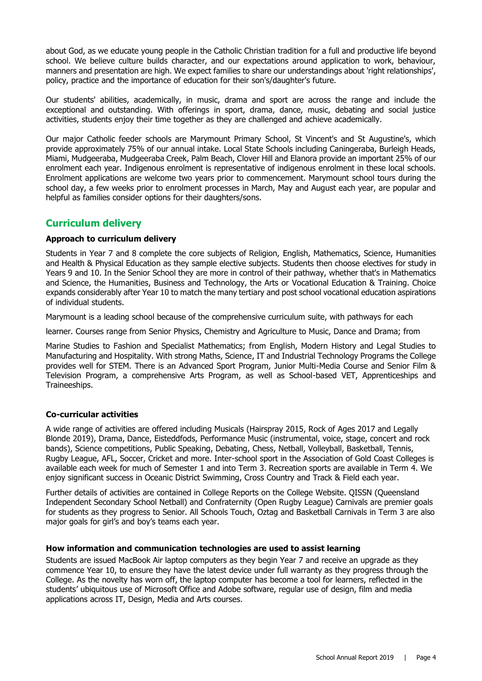about God, as we educate young people in the Catholic Christian tradition for a full and productive life beyond school. We believe culture builds character, and our expectations around application to work, behaviour, manners and presentation are high. We expect families to share our understandings about 'right relationships', policy, practice and the importance of education for their son's/daughter's future.

Our students' abilities, academically, in music, drama and sport are across the range and include the exceptional and outstanding. With offerings in sport, drama, dance, music, debating and social justice activities, students enjoy their time together as they are challenged and achieve academically.

Our major Catholic feeder schools are Marymount Primary School, St Vincent's and St Augustine's, which provide approximately 75% of our annual intake. Local State Schools including Caningeraba, Burleigh Heads, Miami, Mudgeeraba, Mudgeeraba Creek, Palm Beach, Clover Hill and Elanora provide an important 25% of our enrolment each year. Indigenous enrolment is representative of indigenous enrolment in these local schools. Enrolment applications are welcome two years prior to commencement. Marymount school tours during the school day, a few weeks prior to enrolment processes in March, May and August each year, are popular and helpful as families consider options for their daughters/sons.

# **Curriculum delivery**

# **Approach to curriculum delivery**

Students in Year 7 and 8 complete the core subjects of Religion, English, Mathematics, Science, Humanities and Health & Physical Education as they sample elective subjects. Students then choose electives for study in Years 9 and 10. In the Senior School they are more in control of their pathway, whether that's in Mathematics and Science, the Humanities, Business and Technology, the Arts or Vocational Education & Training. Choice expands considerably after Year 10 to match the many tertiary and post school vocational education aspirations of individual students.

Marymount is a leading school because of the comprehensive curriculum suite, with pathways for each

learner. Courses range from Senior Physics, Chemistry and Agriculture to Music, Dance and Drama; from

Marine Studies to Fashion and Specialist Mathematics; from English, Modern History and Legal Studies to Manufacturing and Hospitality. With strong Maths, Science, IT and Industrial Technology Programs the College provides well for STEM. There is an Advanced Sport Program, Junior Multi-Media Course and Senior Film & Television Program, a comprehensive Arts Program, as well as School-based VET, Apprenticeships and Traineeships.

### **Co-curricular activities**

A wide range of activities are offered including Musicals (Hairspray 2015, Rock of Ages 2017 and Legally Blonde 2019), Drama, Dance, Eisteddfods, Performance Music (instrumental, voice, stage, concert and rock bands), Science competitions, Public Speaking, Debating, Chess, Netball, Volleyball, Basketball, Tennis, Rugby League, AFL, Soccer, Cricket and more. Inter-school sport in the Association of Gold Coast Colleges is available each week for much of Semester 1 and into Term 3. Recreation sports are available in Term 4. We enjoy significant success in Oceanic District Swimming, Cross Country and Track & Field each year.

Further details of activities are contained in College Reports on the [College Website.](http://www.marymount.qld.edu.au/our-college/Pages/Annual-Reports.aspx) QISSN (Queensland Independent Secondary School Netball) and Confraternity (Open Rugby League) Carnivals are premier goals for students as they progress to Senior. All Schools Touch, Oztag and Basketball Carnivals in Term 3 are also major goals for girl's and boy's teams each year.

### **How information and communication technologies are used to assist learning**

Students are issued MacBook Air laptop computers as they begin Year 7 and receive an upgrade as they commence Year 10, to ensure they have the latest device under full warranty as they progress through the College. As the novelty has worn off, the laptop computer has become a tool for learners, reflected in the students' ubiquitous use of Microsoft Office and Adobe software, regular use of design, film and media applications across IT, Design, Media and Arts courses.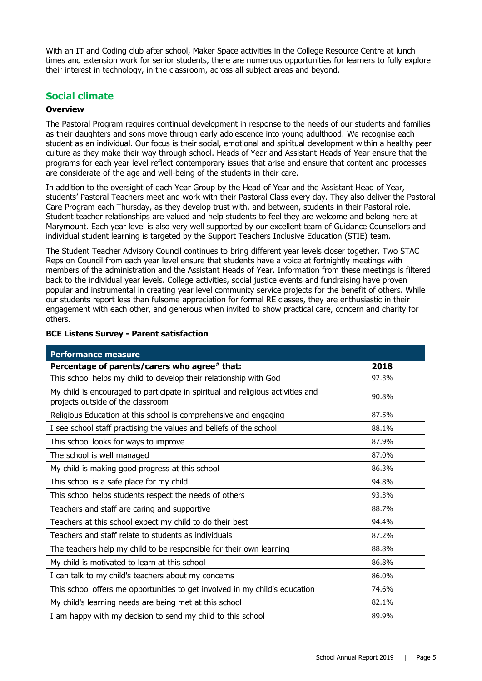With an IT and Coding club after school, Maker Space activities in the College Resource Centre at lunch times and extension work for senior students, there are numerous opportunities for learners to fully explore their interest in technology, in the classroom, across all subject areas and beyond.

# **Social climate**

### **Overview**

The Pastoral Program requires continual development in response to the needs of our students and families as their daughters and sons move through early adolescence into young adulthood. We recognise each student as an individual. Our focus is their social, emotional and spiritual development within a healthy peer culture as they make their way through school. Heads of Year and Assistant Heads of Year ensure that the programs for each year level reflect contemporary issues that arise and ensure that content and processes are considerate of the age and well-being of the students in their care.

In addition to the oversight of each Year Group by the Head of Year and the Assistant Head of Year, students' Pastoral Teachers meet and work with their Pastoral Class every day. They also deliver the Pastoral Care Program each Thursday, as they develop trust with, and between, students in their Pastoral role. Student teacher relationships are valued and help students to feel they are welcome and belong here at Marymount. Each year level is also very well supported by our excellent team of Guidance Counsellors and individual student learning is targeted by the Support Teachers Inclusive Education (STIE) team.

The Student Teacher Advisory Council continues to bring different year levels closer together. Two STAC Reps on Council from each year level ensure that students have a voice at fortnightly meetings with members of the administration and the Assistant Heads of Year. Information from these meetings is filtered back to the individual year levels. College activities, social justice events and fundraising have proven popular and instrumental in creating year level community service projects for the benefit of others. While our students report less than fulsome appreciation for formal RE classes, they are enthusiastic in their engagement with each other, and generous when invited to show practical care, concern and charity for others.

| <b>Performance measure</b>                                                                                           |       |
|----------------------------------------------------------------------------------------------------------------------|-------|
| Percentage of parents/carers who agree# that:                                                                        | 2018  |
| This school helps my child to develop their relationship with God                                                    | 92.3% |
| My child is encouraged to participate in spiritual and religious activities and<br>projects outside of the classroom | 90.8% |
| Religious Education at this school is comprehensive and engaging                                                     | 87.5% |
| I see school staff practising the values and beliefs of the school                                                   | 88.1% |
| This school looks for ways to improve                                                                                | 87.9% |
| The school is well managed                                                                                           | 87.0% |
| My child is making good progress at this school                                                                      | 86.3% |
| This school is a safe place for my child                                                                             | 94.8% |
| This school helps students respect the needs of others                                                               | 93.3% |
| Teachers and staff are caring and supportive                                                                         | 88.7% |
| Teachers at this school expect my child to do their best                                                             | 94.4% |
| Teachers and staff relate to students as individuals                                                                 | 87.2% |
| The teachers help my child to be responsible for their own learning                                                  | 88.8% |
| My child is motivated to learn at this school                                                                        | 86.8% |
| I can talk to my child's teachers about my concerns                                                                  | 86.0% |
| This school offers me opportunities to get involved in my child's education                                          | 74.6% |
| My child's learning needs are being met at this school                                                               | 82.1% |
| I am happy with my decision to send my child to this school                                                          | 89.9% |

# **BCE Listens Survey - Parent satisfaction**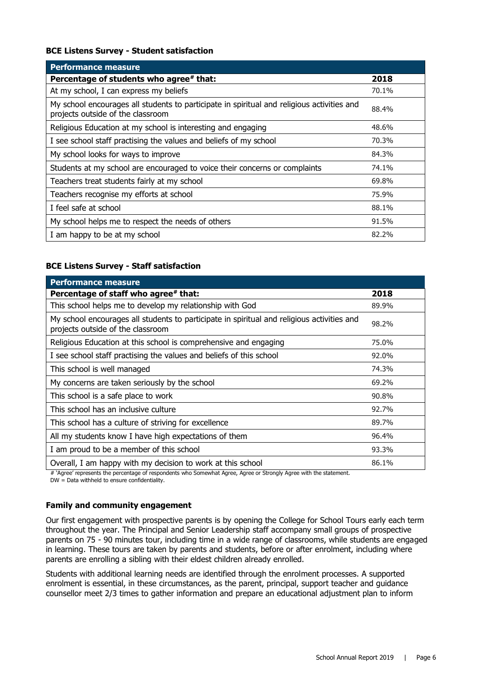### **BCE Listens Survey - Student satisfaction**

| <b>Performance measure</b>                                                                                                      |       |
|---------------------------------------------------------------------------------------------------------------------------------|-------|
| Percentage of students who agree# that:                                                                                         | 2018  |
| At my school, I can express my beliefs                                                                                          | 70.1% |
| My school encourages all students to participate in spiritual and religious activities and<br>projects outside of the classroom | 88.4% |
| Religious Education at my school is interesting and engaging                                                                    | 48.6% |
| I see school staff practising the values and beliefs of my school                                                               | 70.3% |
| My school looks for ways to improve                                                                                             | 84.3% |
| Students at my school are encouraged to voice their concerns or complaints                                                      | 74.1% |
| Teachers treat students fairly at my school                                                                                     | 69.8% |
| Teachers recognise my efforts at school                                                                                         | 75.9% |
| I feel safe at school                                                                                                           | 88.1% |
| My school helps me to respect the needs of others                                                                               | 91.5% |
| I am happy to be at my school                                                                                                   | 82.2% |

# **BCE Listens Survey - Staff satisfaction**

| <b>Performance measure</b>                                                                                                      |       |
|---------------------------------------------------------------------------------------------------------------------------------|-------|
| Percentage of staff who agree# that:                                                                                            | 2018  |
| This school helps me to develop my relationship with God                                                                        | 89.9% |
| My school encourages all students to participate in spiritual and religious activities and<br>projects outside of the classroom | 98.2% |
| Religious Education at this school is comprehensive and engaging                                                                | 75.0% |
| I see school staff practising the values and beliefs of this school                                                             | 92.0% |
| This school is well managed                                                                                                     | 74.3% |
| My concerns are taken seriously by the school                                                                                   | 69.2% |
| This school is a safe place to work                                                                                             | 90.8% |
| This school has an inclusive culture                                                                                            | 92.7% |
| This school has a culture of striving for excellence                                                                            | 89.7% |
| All my students know I have high expectations of them                                                                           | 96.4% |
| I am proud to be a member of this school                                                                                        | 93.3% |
| Overall, I am happy with my decision to work at this school                                                                     | 86.1% |

# 'Agree' represents the percentage of respondents who Somewhat Agree, Agree or Strongly Agree with the statement.

DW = Data withheld to ensure confidentiality.

### **Family and community engagement**

Our first engagement with prospective parents is by opening the College for School Tours early each term throughout the year. The Principal and Senior Leadership staff accompany small groups of prospective parents on 75 - 90 minutes tour, including time in a wide range of classrooms, while students are engaged in learning. These tours are taken by parents and students, before or after enrolment, including where parents are enrolling a sibling with their eldest children already enrolled.

Students with additional learning needs are identified through the enrolment processes. A supported enrolment is essential, in these circumstances, as the parent, principal, support teacher and guidance counsellor meet 2/3 times to gather information and prepare an educational adjustment plan to inform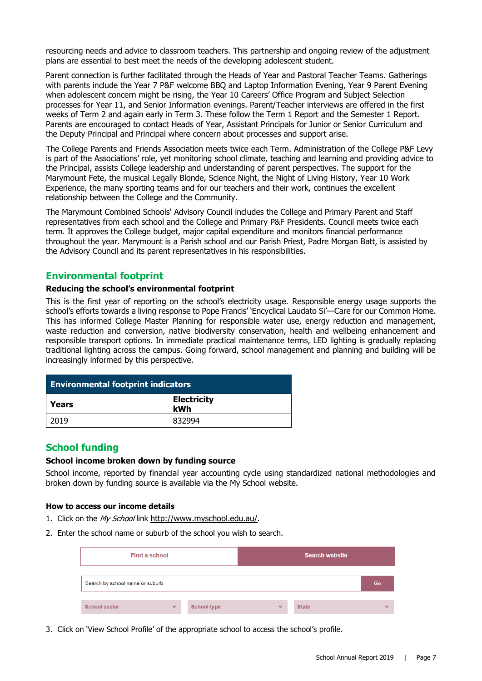resourcing needs and advice to classroom teachers. This partnership and ongoing review of the adjustment plans are essential to best meet the needs of the developing adolescent student.

Parent connection is further facilitated through the Heads of Year and Pastoral Teacher Teams. Gatherings with parents include the Year 7 P&F welcome BBQ and Laptop Information Evening, Year 9 Parent Evening when adolescent concern might be rising, the Year 10 Careers' Office Program and Subject Selection processes for Year 11, and Senior Information evenings. Parent/Teacher interviews are offered in the first weeks of Term 2 and again early in Term 3. These follow the Term 1 Report and the Semester 1 Report. Parents are encouraged to contact Heads of Year, Assistant Principals for Junior or Senior Curriculum and the Deputy Principal and Principal where concern about processes and support arise.

The College Parents and Friends Association meets twice each Term. Administration of the College P&F Levy is part of the Associations' role, yet monitoring school climate, teaching and learning and providing advice to the Principal, assists College leadership and understanding of parent perspectives. The support for the Marymount Fete, the musical Legally Blonde, Science Night, the Night of Living History, Year 10 Work Experience, the many sporting teams and for our teachers and their work, continues the excellent relationship between the College and the Community.

The Marymount Combined Schools' Advisory Council includes the College and Primary Parent and Staff representatives from each school and the College and Primary P&F Presidents. Council meets twice each term. It approves the College budget, major capital expenditure and monitors financial performance throughout the year. Marymount is a Parish school and our Parish Priest, Padre Morgan Batt, is assisted by the Advisory Council and its parent representatives in his responsibilities.

# **Environmental footprint**

#### **Reducing the school's environmental footprint**

This is the first year of reporting on the school's electricity usage. Responsible energy usage supports the school's efforts towards a living response to Pope Francis' 'Encyclical Laudato Si'—Care for our Common Home. This has informed College Master Planning for responsible water use, energy reduction and management, waste reduction and conversion, native biodiversity conservation, health and wellbeing enhancement and responsible transport options. In immediate practical maintenance terms, LED lighting is gradually replacing traditional lighting across the campus. Going forward, school management and planning and building will be increasingly informed by this perspective.

| <b>Environmental footprint indicators</b> |                           |  |  |
|-------------------------------------------|---------------------------|--|--|
| Years                                     | <b>Electricity</b><br>kWh |  |  |
| 2019                                      | 832994                    |  |  |

# **School funding**

### **School income broken down by funding source**

School income, reported by financial year accounting cycle using standardized national methodologies and broken down by funding source is available via the [My School](http://www.myschool.edu.au/) website.

#### **How to access our income details**

- 1. Click on the My School link <http://www.myschool.edu.au/>.
- 2. Enter the school name or suburb of the school you wish to search.

| Find a school                   |              |                    | <b>Search website</b> |              |              |
|---------------------------------|--------------|--------------------|-----------------------|--------------|--------------|
| Search by school name or suburb |              |                    |                       |              | Go           |
| <b>School sector</b>            | $\checkmark$ | <b>School type</b> | $\checkmark$          | <b>State</b> | $\checkmark$ |

3. Click on 'View School Profile' of the appropriate school to access the school's profile.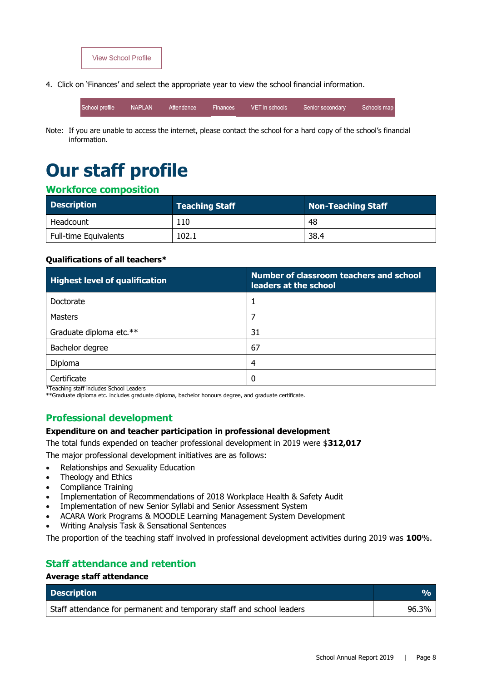

4. Click on 'Finances' and select the appropriate year to view the school financial information.

**NAPLAN** School profile Attendance Finances VET in schools Senior secondary Schools map

Note: If you are unable to access the internet, please contact the school for a hard copy of the school's financial information.

# **Our staff profile**

# **Workforce composition**

| <b>Description</b>           | <b>Teaching Staff</b> | Non-Teaching Staff |
|------------------------------|-----------------------|--------------------|
| Headcount                    | 110                   | 48                 |
| <b>Full-time Equivalents</b> | 102.1                 | 38.4               |

# **Qualifications of all teachers\***

| <b>Highest level of qualification</b> | <b>Number of classroom teachers and school</b><br>leaders at the school |
|---------------------------------------|-------------------------------------------------------------------------|
| Doctorate                             |                                                                         |
| Masters                               |                                                                         |
| Graduate diploma etc.**               | 31                                                                      |
| Bachelor degree                       | 67                                                                      |
| Diploma                               | 4                                                                       |
| Certificate                           | 0                                                                       |

\*Teaching staff includes School Leaders

\*\*Graduate diploma etc. includes graduate diploma, bachelor honours degree, and graduate certificate.

# **Professional development**

### **Expenditure on and teacher participation in professional development**

The total funds expended on teacher professional development in 2019 were \$**312,017**

The major professional development initiatives are as follows:

- Relationships and Sexuality Education
- Theology and Ethics
- Compliance Training
- Implementation of Recommendations of 2018 Workplace Health & Safety Audit
- Implementation of new Senior Syllabi and Senior Assessment System
- ACARA Work Programs & MOODLE Learning Management System Development
- Writing Analysis Task & Sensational Sentences

The proportion of the teaching staff involved in professional development activities during 2019 was **100**%.

# **Staff attendance and retention**

#### **Average staff attendance**

| <b>Description</b>                                                    | $\mathbf{v}_0$ |
|-----------------------------------------------------------------------|----------------|
| Staff attendance for permanent and temporary staff and school leaders | 96.3%          |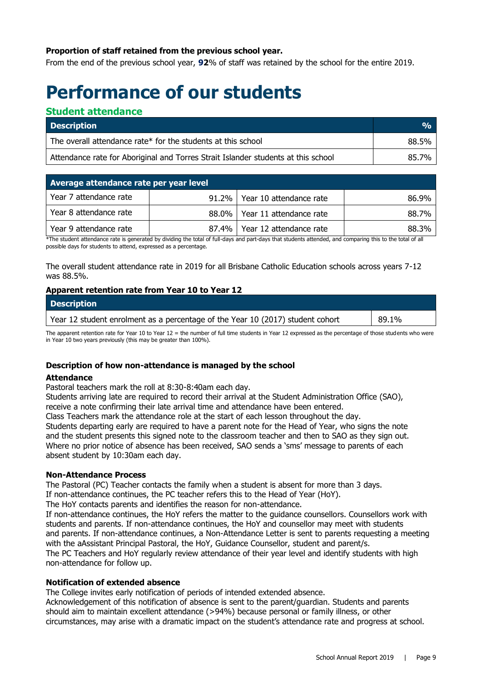# **Proportion of staff retained from the previous school year.**

From the end of the previous school year, **92**% of staff was retained by the school for the entire 2019.

# **Performance of our students**

# **Student attendance**

| <b>Description</b>                                                                | $\frac{0}{0}$ |
|-----------------------------------------------------------------------------------|---------------|
| The overall attendance rate* for the students at this school                      | 88.5%         |
| Attendance rate for Aboriginal and Torres Strait Islander students at this school | 85.7%         |

| Average attendance rate per year level |  |                                 |       |
|----------------------------------------|--|---------------------------------|-------|
| Year 7 attendance rate                 |  | 91.2%   Year 10 attendance rate | 86.9% |
| Year 8 attendance rate                 |  | 88.0% Year 11 attendance rate   | 88.7% |
| Year 9 attendance rate                 |  | 87.4%   Year 12 attendance rate | 88.3% |

\*The student attendance rate is generated by dividing the total of full-days and part-days that students attended, and comparing this to the total of all possible days for students to attend, expressed as a percentage.

The overall student attendance rate in 2019 for all Brisbane Catholic Education schools across years 7-12 was 88.5%.

# **Apparent retention rate from Year 10 to Year 12**

| <b>Description</b>                                                             |       |
|--------------------------------------------------------------------------------|-------|
| Year 12 student enrolment as a percentage of the Year 10 (2017) student cohort | 89.1% |

The apparent retention rate for Year 10 to Year 12 = the number of full time students in Year 12 expressed as the percentage of those students who were in Year 10 two years previously (this may be greater than 100%).

### **Description of how non-attendance is managed by the school**

#### **Attendance**

Pastoral teachers mark the roll at 8:30-8:40am each day.

Students arriving late are required to record their arrival at the Student Administration Office (SAO), receive a note confirming their late arrival time and attendance have been entered.

Class Teachers mark the attendance role at the start of each lesson throughout the day.

Students departing early are required to have a parent note for the Head of Year, who signs the note and the student presents this signed note to the classroom teacher and then to SAO as they sign out. Where no prior notice of absence has been received, SAO sends a 'sms' message to parents of each absent student by 10:30am each day.

### **Non-Attendance Process**

The Pastoral (PC) Teacher contacts the family when a student is absent for more than 3 days.

If non-attendance continues, the PC teacher refers this to the Head of Year (HoY).

The HoY contacts parents and identifies the reason for non-attendance.

If non-attendance continues, the HoY refers the matter to the guidance counsellors. Counsellors work with students and parents. If non-attendance continues, the HoY and counsellor may meet with students and parents. If non-attendance continues, a Non-Attendance Letter is sent to parents requesting a meeting with the aAssistant Principal Pastoral, the HoY, Guidance Counsellor, student and parent/s. The PC Teachers and HoY regularly review attendance of their year level and identify students with high non-attendance for follow up.

### **Notification of extended absence**

The College invites early notification of periods of intended extended absence.

Acknowledgement of this notification of absence is sent to the parent/guardian. Students and parents should aim to maintain excellent attendance (>94%) because personal or family illness, or other circumstances, may arise with a dramatic impact on the student's attendance rate and progress at school.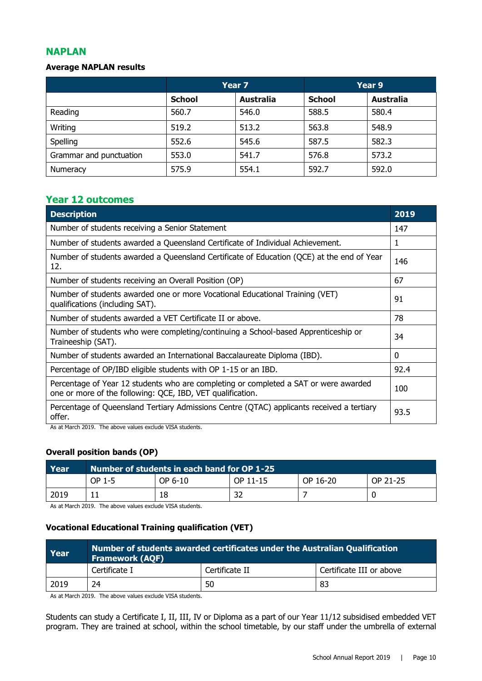# **NAPLAN**

# **Average NAPLAN results**

|                         | Year 7        |                  | Year 9        |                  |
|-------------------------|---------------|------------------|---------------|------------------|
|                         | <b>School</b> | <b>Australia</b> | <b>School</b> | <b>Australia</b> |
| Reading                 | 560.7         | 546.0            | 588.5         | 580.4            |
| Writing                 | 519.2         | 513.2            | 563.8         | 548.9            |
| Spelling                | 552.6         | 545.6            | 587.5         | 582.3            |
| Grammar and punctuation | 553.0         | 541.7            | 576.8         | 573.2            |
| Numeracy                | 575.9         | 554.1            | 592.7         | 592.0            |

# **Year 12 outcomes**

| <b>Description</b>                                                                                                                                 | 2019 |
|----------------------------------------------------------------------------------------------------------------------------------------------------|------|
| Number of students receiving a Senior Statement                                                                                                    | 147  |
| Number of students awarded a Queensland Certificate of Individual Achievement.                                                                     | 1    |
| Number of students awarded a Queensland Certificate of Education (QCE) at the end of Year<br>12.                                                   | 146  |
| Number of students receiving an Overall Position (OP)                                                                                              | 67   |
| Number of students awarded one or more Vocational Educational Training (VET)<br>qualifications (including SAT).                                    | 91   |
| Number of students awarded a VET Certificate II or above.                                                                                          | 78   |
| Number of students who were completing/continuing a School-based Apprenticeship or<br>Traineeship (SAT).                                           | 34   |
| Number of students awarded an International Baccalaureate Diploma (IBD).                                                                           | 0    |
| Percentage of OP/IBD eligible students with OP 1-15 or an IBD.                                                                                     | 92.4 |
| Percentage of Year 12 students who are completing or completed a SAT or were awarded<br>one or more of the following: QCE, IBD, VET qualification. | 100  |
| Percentage of Queensland Tertiary Admissions Centre (QTAC) applicants received a tertiary<br>offer.                                                | 93.5 |

As at March 2019. The above values exclude VISA students.

### **Overall position bands (OP)**

| Year | Number of students in each band for OP 1-25 \, |         |          |          |          |
|------|------------------------------------------------|---------|----------|----------|----------|
|      | OP 1-5                                         | OP 6-10 | OP 11-15 | OP 16-20 | OP 21-25 |
| 2019 |                                                | 18      | 32       |          |          |

As at March 2019. The above values exclude VISA students.

# **Vocational Educational Training qualification (VET)**

| Year | Number of students awarded certificates under the Australian Qualification<br><b>Framework (AQF)</b> |                |                          |  |
|------|------------------------------------------------------------------------------------------------------|----------------|--------------------------|--|
|      | Certificate I                                                                                        | Certificate II | Certificate III or above |  |
| 2019 | 24                                                                                                   | 50             | 83                       |  |

As at March 2019. The above values exclude VISA students.

Students can study a Certificate I, II, III, IV or Diploma as a part of our Year 11/12 subsidised embedded VET program. They are trained at school, within the school timetable, by our staff under the umbrella of external